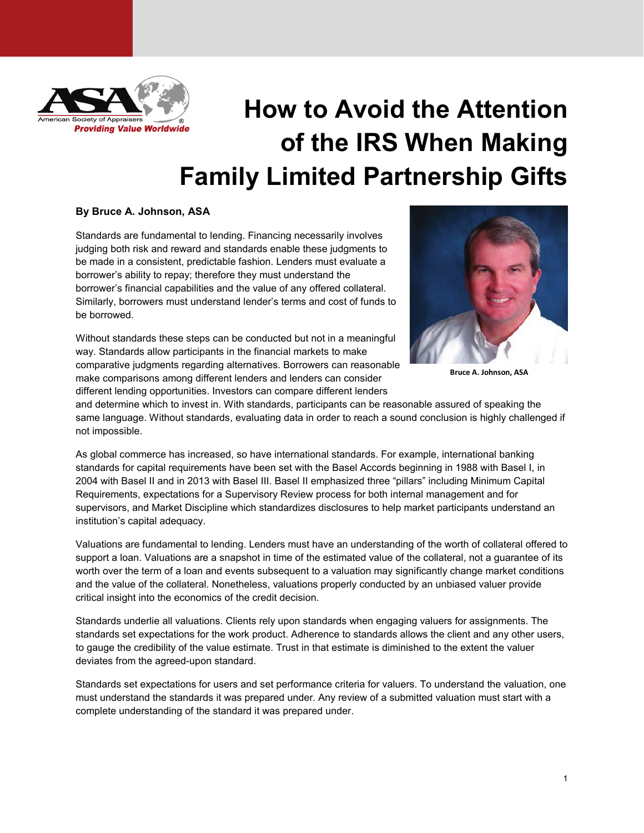

# **How to Avoid the Attention of the IRS When Making Family Limited Partnership Gifts**

## **By Bruce A. Johnson, ASA**

Standards are fundamental to lending. Financing necessarily involves judging both risk and reward and standards enable these judgments to be made in a consistent, predictable fashion. Lenders must evaluate a borrower's ability to repay; therefore they must understand the borrower's financial capabilities and the value of any offered collateral. Similarly, borrowers must understand lender's terms and cost of funds to be borrowed.

Without standards these steps can be conducted but not in a meaningful way. Standards allow participants in the financial markets to make comparative judgments regarding alternatives. Borrowers can reasonable make comparisons among different lenders and lenders can consider different lending opportunities. Investors can compare different lenders



**Bruce A. Johnson, ASA**

and determine which to invest in. With standards, participants can be reasonable assured of speaking the same language. Without standards, evaluating data in order to reach a sound conclusion is highly challenged if not impossible.

As global commerce has increased, so have international standards. For example, international banking standards for capital requirements have been set with the Basel Accords beginning in 1988 with Basel I, in 2004 with Basel II and in 2013 with Basel III. Basel II emphasized three "pillars" including Minimum Capital Requirements, expectations for a Supervisory Review process for both internal management and for supervisors, and Market Discipline which standardizes disclosures to help market participants understand an institution's capital adequacy.

Valuations are fundamental to lending. Lenders must have an understanding of the worth of collateral offered to support a loan. Valuations are a snapshot in time of the estimated value of the collateral, not a guarantee of its worth over the term of a loan and events subsequent to a valuation may significantly change market conditions and the value of the collateral. Nonetheless, valuations properly conducted by an unbiased valuer provide critical insight into the economics of the credit decision.

Standards underlie all valuations. Clients rely upon standards when engaging valuers for assignments. The standards set expectations for the work product. Adherence to standards allows the client and any other users, to gauge the credibility of the value estimate. Trust in that estimate is diminished to the extent the valuer deviates from the agreed-upon standard.

Standards set expectations for users and set performance criteria for valuers. To understand the valuation, one must understand the standards it was prepared under. Any review of a submitted valuation must start with a complete understanding of the standard it was prepared under.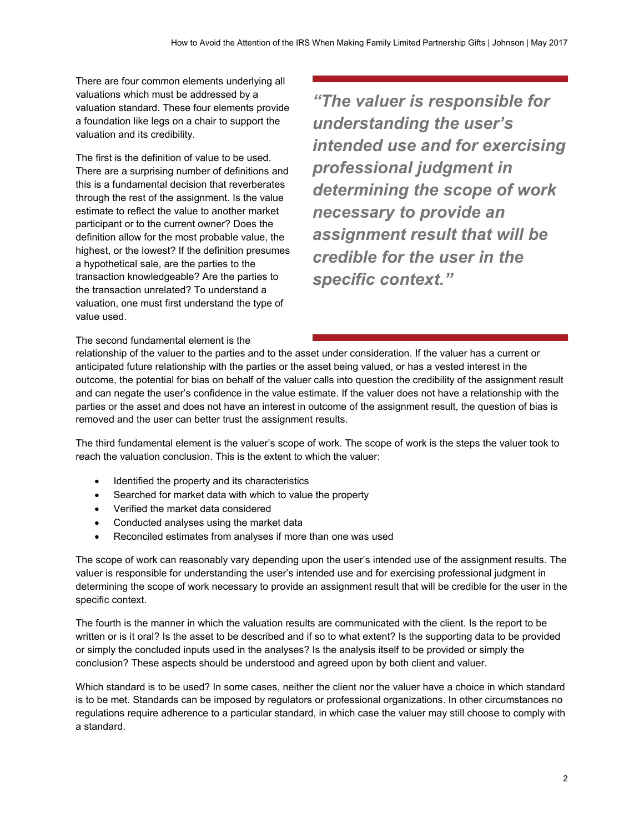There are four common elements underlying all valuations which must be addressed by a valuation standard. These four elements provide a foundation like legs on a chair to support the valuation and its credibility.

The first is the definition of value to be used. There are a surprising number of definitions and this is a fundamental decision that reverberates through the rest of the assignment. Is the value estimate to reflect the value to another market participant or to the current owner? Does the definition allow for the most probable value, the highest, or the lowest? If the definition presumes a hypothetical sale, are the parties to the transaction knowledgeable? Are the parties to the transaction unrelated? To understand a valuation, one must first understand the type of value used.

*"The valuer is responsible for understanding the user's intended use and for exercising professional judgment in determining the scope of work necessary to provide an assignment result that will be credible for the user in the specific context."*

The second fundamental element is the

relationship of the valuer to the parties and to the asset under consideration. If the valuer has a current or anticipated future relationship with the parties or the asset being valued, or has a vested interest in the outcome, the potential for bias on behalf of the valuer calls into question the credibility of the assignment result and can negate the user's confidence in the value estimate. If the valuer does not have a relationship with the parties or the asset and does not have an interest in outcome of the assignment result, the question of bias is removed and the user can better trust the assignment results.

The third fundamental element is the valuer's scope of work. The scope of work is the steps the valuer took to reach the valuation conclusion. This is the extent to which the valuer:

- Identified the property and its characteristics
- Searched for market data with which to value the property
- Verified the market data considered
- Conducted analyses using the market data
- Reconciled estimates from analyses if more than one was used

The scope of work can reasonably vary depending upon the user's intended use of the assignment results. The valuer is responsible for understanding the user's intended use and for exercising professional judgment in determining the scope of work necessary to provide an assignment result that will be credible for the user in the specific context.

The fourth is the manner in which the valuation results are communicated with the client. Is the report to be written or is it oral? Is the asset to be described and if so to what extent? Is the supporting data to be provided or simply the concluded inputs used in the analyses? Is the analysis itself to be provided or simply the conclusion? These aspects should be understood and agreed upon by both client and valuer.

Which standard is to be used? In some cases, neither the client nor the valuer have a choice in which standard is to be met. Standards can be imposed by regulators or professional organizations. In other circumstances no regulations require adherence to a particular standard, in which case the valuer may still choose to comply with a standard.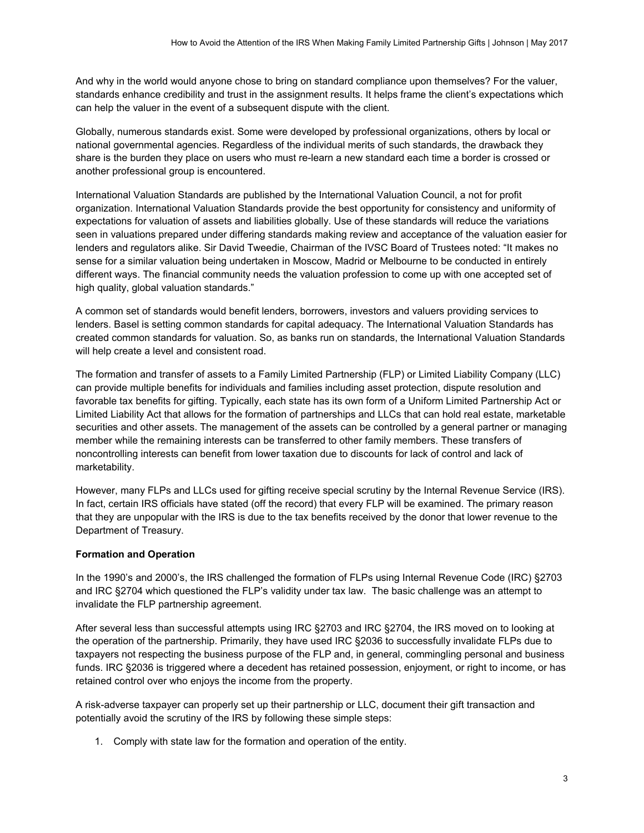And why in the world would anyone chose to bring on standard compliance upon themselves? For the valuer, standards enhance credibility and trust in the assignment results. It helps frame the client's expectations which can help the valuer in the event of a subsequent dispute with the client.

Globally, numerous standards exist. Some were developed by professional organizations, others by local or national governmental agencies. Regardless of the individual merits of such standards, the drawback they share is the burden they place on users who must re-learn a new standard each time a border is crossed or another professional group is encountered.

International Valuation Standards are published by the International Valuation Council, a not for profit organization. International Valuation Standards provide the best opportunity for consistency and uniformity of expectations for valuation of assets and liabilities globally. Use of these standards will reduce the variations seen in valuations prepared under differing standards making review and acceptance of the valuation easier for lenders and regulators alike. Sir David Tweedie, Chairman of the IVSC Board of Trustees noted: "It makes no sense for a similar valuation being undertaken in Moscow, Madrid or Melbourne to be conducted in entirely different ways. The financial community needs the valuation profession to come up with one accepted set of high quality, global valuation standards."

A common set of standards would benefit lenders, borrowers, investors and valuers providing services to lenders. Basel is setting common standards for capital adequacy. The International Valuation Standards has created common standards for valuation. So, as banks run on standards, the International Valuation Standards will help create a level and consistent road.

The formation and transfer of assets to a Family Limited Partnership (FLP) or Limited Liability Company (LLC) can provide multiple benefits for individuals and families including asset protection, dispute resolution and favorable tax benefits for gifting. Typically, each state has its own form of a Uniform Limited Partnership Act or Limited Liability Act that allows for the formation of partnerships and LLCs that can hold real estate, marketable securities and other assets. The management of the assets can be controlled by a general partner or managing member while the remaining interests can be transferred to other family members. These transfers of noncontrolling interests can benefit from lower taxation due to discounts for lack of control and lack of marketability.

However, many FLPs and LLCs used for gifting receive special scrutiny by the Internal Revenue Service (IRS). In fact, certain IRS officials have stated (off the record) that every FLP will be examined. The primary reason that they are unpopular with the IRS is due to the tax benefits received by the donor that lower revenue to the Department of Treasury.

### **Formation and Operation**

In the 1990's and 2000's, the IRS challenged the formation of FLPs using Internal Revenue Code (IRC) §2703 and IRC §2704 which questioned the FLP's validity under tax law. The basic challenge was an attempt to invalidate the FLP partnership agreement.

After several less than successful attempts using IRC §2703 and IRC §2704, the IRS moved on to looking at the operation of the partnership. Primarily, they have used IRC §2036 to successfully invalidate FLPs due to taxpayers not respecting the business purpose of the FLP and, in general, commingling personal and business funds. IRC §2036 is triggered where a decedent has retained possession, enjoyment, or right to income, or has retained control over who enjoys the income from the property.

A risk-adverse taxpayer can properly set up their partnership or LLC, document their gift transaction and potentially avoid the scrutiny of the IRS by following these simple steps:

1. Comply with state law for the formation and operation of the entity.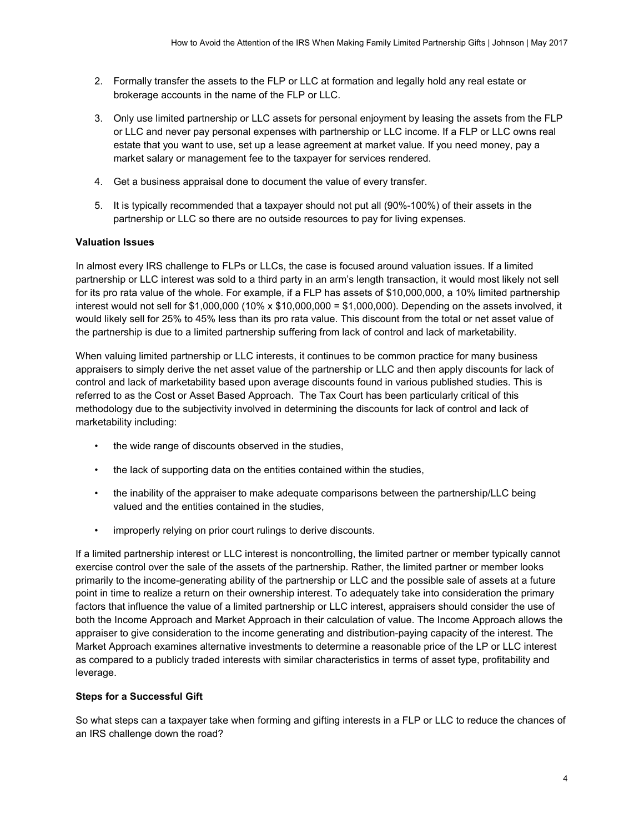- 2. Formally transfer the assets to the FLP or LLC at formation and legally hold any real estate or brokerage accounts in the name of the FLP or LLC.
- 3. Only use limited partnership or LLC assets for personal enjoyment by leasing the assets from the FLP or LLC and never pay personal expenses with partnership or LLC income. If a FLP or LLC owns real estate that you want to use, set up a lease agreement at market value. If you need money, pay a market salary or management fee to the taxpayer for services rendered.
- 4. Get a business appraisal done to document the value of every transfer.
- 5. It is typically recommended that a taxpayer should not put all (90%-100%) of their assets in the partnership or LLC so there are no outside resources to pay for living expenses.

### **Valuation Issues**

In almost every IRS challenge to FLPs or LLCs, the case is focused around valuation issues. If a limited partnership or LLC interest was sold to a third party in an arm's length transaction, it would most likely not sell for its pro rata value of the whole. For example, if a FLP has assets of \$10,000,000, a 10% limited partnership interest would not sell for \$1,000,000 (10% x \$10,000,000 = \$1,000,000). Depending on the assets involved, it would likely sell for 25% to 45% less than its pro rata value. This discount from the total or net asset value of the partnership is due to a limited partnership suffering from lack of control and lack of marketability.

When valuing limited partnership or LLC interests, it continues to be common practice for many business appraisers to simply derive the net asset value of the partnership or LLC and then apply discounts for lack of control and lack of marketability based upon average discounts found in various published studies. This is referred to as the Cost or Asset Based Approach. The Tax Court has been particularly critical of this methodology due to the subjectivity involved in determining the discounts for lack of control and lack of marketability including:

- the wide range of discounts observed in the studies,
- the lack of supporting data on the entities contained within the studies,
- the inability of the appraiser to make adequate comparisons between the partnership/LLC being valued and the entities contained in the studies,
- improperly relying on prior court rulings to derive discounts.

If a limited partnership interest or LLC interest is noncontrolling, the limited partner or member typically cannot exercise control over the sale of the assets of the partnership. Rather, the limited partner or member looks primarily to the income-generating ability of the partnership or LLC and the possible sale of assets at a future point in time to realize a return on their ownership interest. To adequately take into consideration the primary factors that influence the value of a limited partnership or LLC interest, appraisers should consider the use of both the Income Approach and Market Approach in their calculation of value. The Income Approach allows the appraiser to give consideration to the income generating and distribution-paying capacity of the interest. The Market Approach examines alternative investments to determine a reasonable price of the LP or LLC interest as compared to a publicly traded interests with similar characteristics in terms of asset type, profitability and leverage.

### **Steps for a Successful Gift**

So what steps can a taxpayer take when forming and gifting interests in a FLP or LLC to reduce the chances of an IRS challenge down the road?